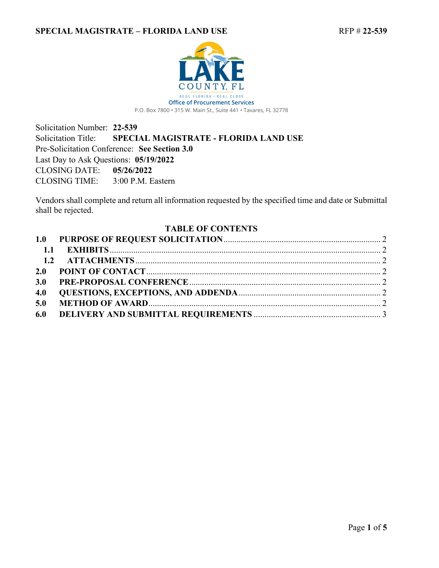

Solicitation Number: **22-539** Solicitation Title: **SPECIAL MAGISTRATE - FLORIDA LAND USE** Pre-Solicitation Conference: **See Section 3.0** Last Day to Ask Questions: **05/19/2022** CLOSING DATE: **05/26/2022** CLOSING TIME: 3:00 P.M. Eastern

Vendors shall complete and return all information requested by the specified time and date or Submittal shall be rejected.

#### <span id="page-0-0"></span>**TABLE OF CONTENTS**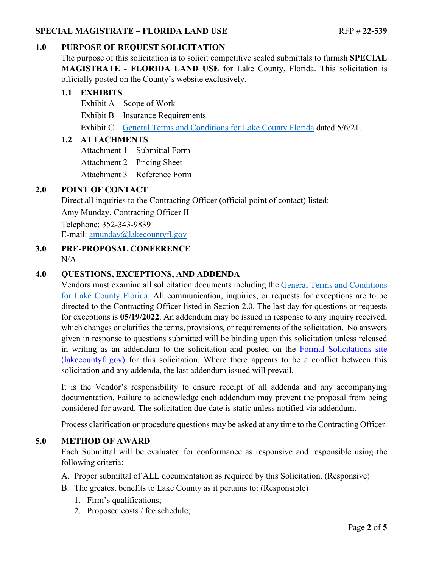# <span id="page-1-0"></span>**1.0 PURPOSE OF REQUEST SOLICITATION**

The purpose of this solicitation is to solicit competitive sealed submittals to furnish **SPECIAL MAGISTRATE - FLORIDA LAND USE** for Lake County, Florida. This solicitation is officially posted on the County's website exclusively.

## <span id="page-1-1"></span>**1.1 EXHIBITS**

Exhibit  $A -$  Scope of Work Exhibit B – Insurance Requirements Exhibit C – [General Terms and Conditions for Lake County Florida](https://lakeumbraco.azurewebsites.net/media/krwgfnt0/general-terms-and-conditions-v-5-6-21-ada.pdf) dated 5/6/21.

#### <span id="page-1-2"></span>**1.2 ATTACHMENTS**

Attachment 1 – Submittal Form

Attachment 2 – Pricing Sheet

Attachment 3 – Reference Form

## <span id="page-1-3"></span>**2.0 POINT OF CONTACT**

Direct all inquiries to the Contracting Officer (official point of contact) listed:

Amy Munday, Contracting Officer II

Telephone: 352-343-9839 E-mail: [amunday@lakecountyfl.gov](mailto:amunday@lakecountyfl.gov)

#### <span id="page-1-4"></span>**3.0 PRE-PROPOSAL CONFERENCE**  $N/A$

# <span id="page-1-5"></span>**4.0 QUESTIONS, EXCEPTIONS, AND ADDENDA**

Vendors must examine all solicitation documents including the [General Terms and Conditions](https://lakeumbraco.azurewebsites.net/media/krwgfnt0/general-terms-and-conditions-v-5-6-21-ada.pdf)  [for Lake County Florida.](https://lakeumbraco.azurewebsites.net/media/krwgfnt0/general-terms-and-conditions-v-5-6-21-ada.pdf) All communication, inquiries, or requests for exceptions are to be directed to the Contracting Officer listed in Section [2.0.](#page-1-3) The last day for questions or requests for exceptions is **[05/19/2022](#page-0-0)**. An addendum may be issued in response to any inquiry received, which changes or clarifies the terms, provisions, or requirements of the solicitation. No answers given in response to questions submitted will be binding upon this solicitation unless released in writing as an addendum to the solicitation and posted on the [Formal Solicitations site](https://c.lakecountyfl.gov/offices/procurement_services/view_all_bids.aspx?mylakefl=True)  [\(lakecountyfl.gov\)](https://c.lakecountyfl.gov/offices/procurement_services/view_all_bids.aspx?mylakefl=True) for this solicitation. Where there appears to be a conflict between this solicitation and any addenda, the last addendum issued will prevail.

It is the Vendor's responsibility to ensure receipt of all addenda and any accompanying documentation. Failure to acknowledge each addendum may prevent the proposal from being considered for award. The solicitation due date is static unless notified via addendum.

Process clarification or procedure questions may be asked at any time to the Contracting Officer.

## <span id="page-1-6"></span>**5.0 METHOD OF AWARD**

Each Submittal will be evaluated for conformance as responsive and responsible using the following criteria:

- A. Proper submittal of ALL documentation as required by this Solicitation. (Responsive)
- B. The greatest benefits to Lake County as it pertains to: (Responsible)
	- 1. Firm's qualifications;
	- 2. Proposed costs / fee schedule;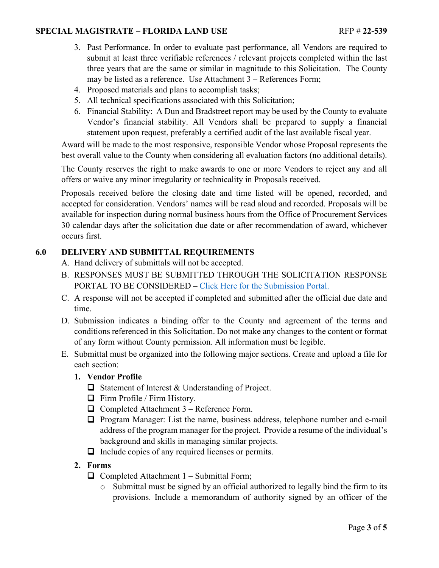- 3. Past Performance. In order to evaluate past performance, all Vendors are required to submit at least three verifiable references / relevant projects completed within the last three years that are the same or similar in magnitude to this Solicitation. The County may be listed as a reference. Use Attachment 3 – References Form;
- 4. Proposed materials and plans to accomplish tasks;
- 5. All technical specifications associated with this Solicitation;
- 6. Financial Stability: A Dun and Bradstreet report may be used by the County to evaluate Vendor's financial stability. All Vendors shall be prepared to supply a financial statement upon request, preferably a certified audit of the last available fiscal year.

Award will be made to the most responsive, responsible Vendor whose Proposal represents the best overall value to the County when considering all evaluation factors (no additional details).

The County reserves the right to make awards to one or more Vendors to reject any and all offers or waive any minor irregularity or technicality in Proposals received.

Proposals received before the closing date and time listed will be opened, recorded, and accepted for consideration. Vendors' names will be read aloud and recorded. Proposals will be available for inspection during normal business hours from the Office of Procurement Services 30 calendar days after the solicitation due date or after recommendation of award, whichever occurs first.

## <span id="page-2-0"></span>**6.0 DELIVERY AND SUBMITTAL REQUIREMENTS**

- A. Hand delivery of submittals will not be accepted.
- B. RESPONSES MUST BE SUBMITTED THROUGH THE SOLICITATION RESPONSE PORTAL TO BE CONSIDERED – [Click Here for the Submission Portal.](https://procurement.lakecountyfl.gov/login)
- C. A response will not be accepted if completed and submitted after the official due date and time.
- D. Submission indicates a binding offer to the County and agreement of the terms and conditions referenced in this Solicitation. Do not make any changes to the content or format of any form without County permission. All information must be legible.
- E. Submittal must be organized into the following major sections. Create and upload a file for each section:
	- **1. Vendor Profile**
		- $\Box$  Statement of Interest & Understanding of Project.
		- Firm Profile / Firm History.
		- $\Box$  Completed Attachment 3 Reference Form.
		- Program Manager: List the name, business address, telephone number and e-mail address of the program manager for the project. Provide a resume of the individual's background and skills in managing similar projects.
		- $\Box$  Include copies of any required licenses or permits.
	- **2. Forms**
		- $\Box$  Completed Attachment 1 Submittal Form;
			- o Submittal must be signed by an official authorized to legally bind the firm to its provisions. Include a memorandum of authority signed by an officer of the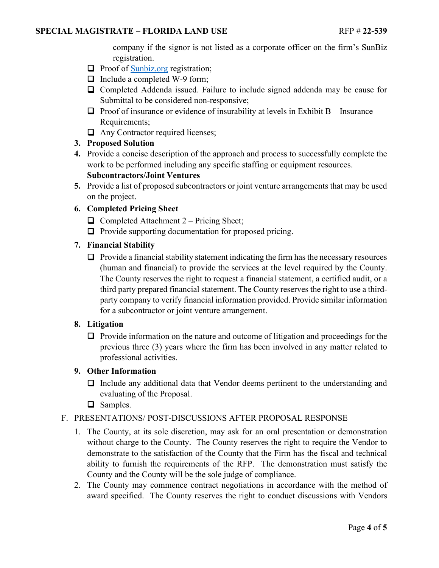company if the signor is not listed as a corporate officer on the firm's SunBiz registration.

- $\Box$  Proof of [Sunbiz.org](https://dos.myflorida.com/sunbiz/) registration;
- □ Include a completed W-9 form;
- Completed Addenda issued. Failure to include signed addenda may be cause for Submittal to be considered non-responsive;
- $\Box$  Proof of insurance or evidence of insurability at levels in Exhibit B Insurance Requirements;
- $\Box$  Any Contractor required licenses;

#### **3. Proposed Solution**

- **4.** Provide a concise description of the approach and process to successfully complete the work to be performed including any specific staffing or equipment resources. **Subcontractors/Joint Ventures**
- **5.** Provide a list of proposed subcontractors or joint venture arrangements that may be used on the project.

#### **6. Completed Pricing Sheet**

- $\Box$  Completed Attachment 2 Pricing Sheet;
- $\Box$  Provide supporting documentation for proposed pricing.

#### **7. Financial Stability**

 $\Box$  Provide a financial stability statement indicating the firm has the necessary resources (human and financial) to provide the services at the level required by the County. The County reserves the right to request a financial statement, a certified audit, or a third party prepared financial statement. The County reserves the right to use a thirdparty company to verify financial information provided. Provide similar information for a subcontractor or joint venture arrangement.

#### **8. Litigation**

 $\Box$  Provide information on the nature and outcome of litigation and proceedings for the previous three (3) years where the firm has been involved in any matter related to professional activities.

#### **9. Other Information**

- Include any additional data that Vendor deems pertinent to the understanding and evaluating of the Proposal.
- □ Samples.

#### F. PRESENTATIONS/ POST-DISCUSSIONS AFTER PROPOSAL RESPONSE

- 1. The County, at its sole discretion, may ask for an oral presentation or demonstration without charge to the County. The County reserves the right to require the Vendor to demonstrate to the satisfaction of the County that the Firm has the fiscal and technical ability to furnish the requirements of the RFP. The demonstration must satisfy the County and the County will be the sole judge of compliance.
- 2. The County may commence contract negotiations in accordance with the method of award specified. The County reserves the right to conduct discussions with Vendors